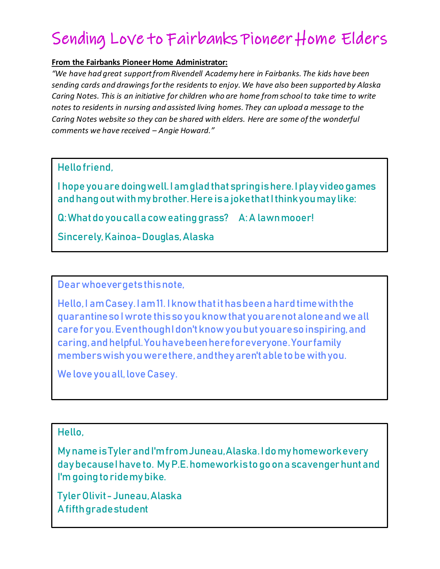## Sending Love to Fairbanks Pioneer Home Elders

## **From the Fairbanks Pioneer Home Administrator:**

*"We have had great support from Rivendell Academy here in Fairbanks. The kids have been sending cards and drawings for the residents to enjoy. We have also been supported by Alaska Caring Notes. This is an initiative for children who are home from school to take time to write notes to residents in nursing and assisted living homes. They can upload a message to the Caring Notes website so they can be shared with elders. Here are some of the wonderful comments we have received – Angie Howard."*

## Hello friend,

I hope you are doing well. I am glad that spring is here. I play video games and hang out with my brother. Here is a joke that I think you may like:

Q: What do you call a cow eating grass? A: A lawn mooer!

Sincerely, Kainoa-Douglas, Alaska

Dear whoever gets this note,

Hello, I am Casey. I am 11. I know that it has been a hard time with the quarantine so I wrote this so you know that you are not aloneand we all care for you. Even though I don't know you but you are so inspiring, and caring, and helpful. You have been here for everyone. Your family members wish you were there, and they aren't able to be with you.

We love you all, love Casey.

## Hello,

My name is Tyler and I'm from Juneau, Alaska. I do my homework every day because I have to. My P.E. homework is to go on a scavenger hunt and I'm going to ride my bike.

Tyler Olivit - Juneau, Alaska A fifth grade student